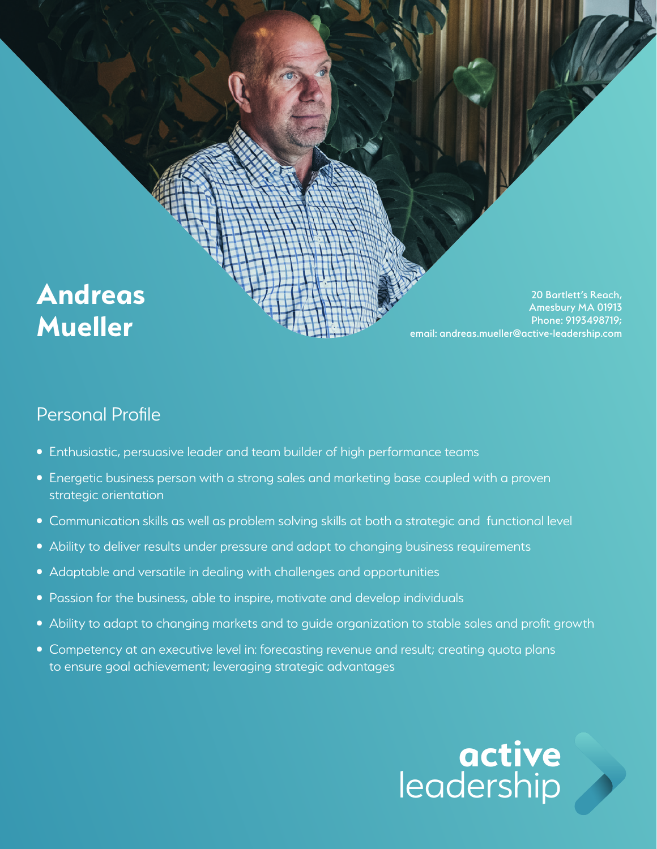

### Personal Profile

- Enthusiastic, persuasive leader and team builder of high performance teams
- Energetic business person with a strong sales and marketing base coupled with a proven strategic orientation
- Communication skills as well as problem solving skills at both a strategic and functional level
- Ability to deliver results under pressure and adapt to changing business requirements
- Adaptable and versatile in dealing with challenges and opportunities
- Passion for the business, able to inspire, motivate and develop individuals
- Ability to adapt to changing markets and to guide organization to stable sales and profit growth
- Competency at an executive level in: forecasting revenue and result; creating quota plans to ensure goal achievement; leveraging strategic advantages

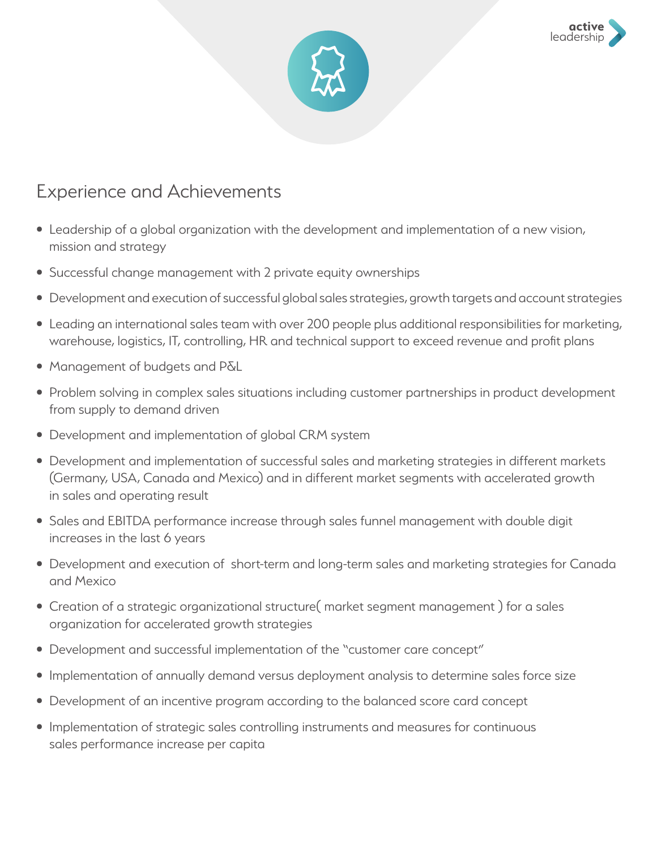



### Experience and Achievements

- Leadership of a global organization with the development and implementation of a new vision, mission and strategy
- Successful change management with 2 private equity ownerships
- Development and execution of successful global sales strategies, growth targets and account strategies
- Leading an international sales team with over 200 people plus additional responsibilities for marketing, warehouse, logistics, IT, controlling, HR and technical support to exceed revenue and profit plans
- Management of budgets and P&L
- Problem solving in complex sales situations including customer partnerships in product development from supply to demand driven
- Development and implementation of global CRM system
- Development and implementation of successful sales and marketing strategies in different markets (Germany, USA, Canada and Mexico) and in different market segments with accelerated growth in sales and operating result
- Sales and EBITDA performance increase through sales funnel management with double digit increases in the last 6 years
- Development and execution of short-term and long-term sales and marketing strategies for Canada and Mexico
- Creation of a strategic organizational structure( market segment management ) for a sales organization for accelerated growth strategies
- Development and successful implementation of the "customer care concept"
- Implementation of annually demand versus deployment analysis to determine sales force size
- Development of an incentive program according to the balanced score card concept
- Implementation of strategic sales controlling instruments and measures for continuous sales performance increase per capita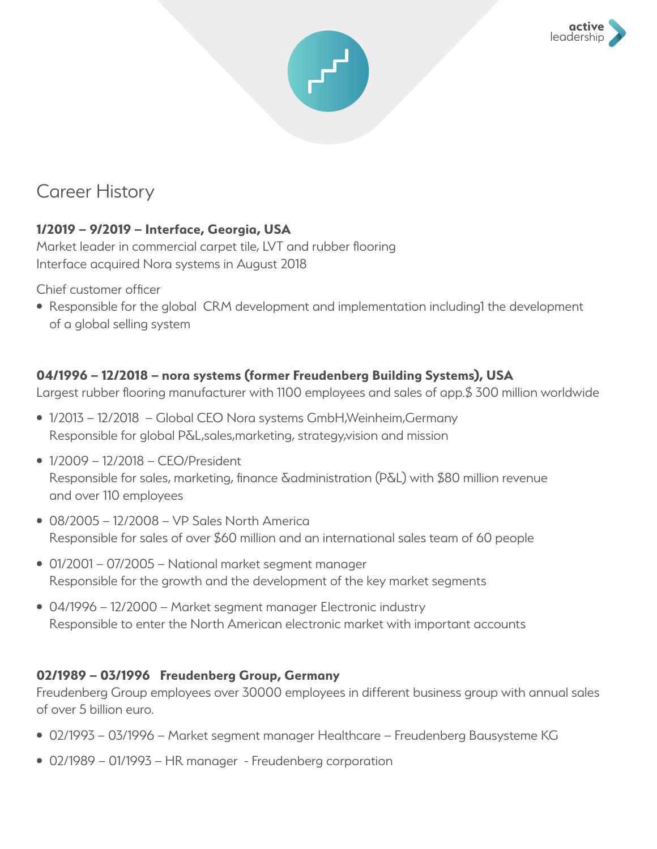



# Career History

#### **1/2019 – 9/2019 – Interface, Georgia, USA**

Market leader in commercial carpet tile, LVT and rubber flooring Interface acquired Nora systems in August 2018

Chief customer officer

• Responsible for the global CRM development and implementation including1 the development of a global selling system

#### **04/1996 – 12/2018 – nora systems (former Freudenberg Building Systems), USA**

Largest rubber flooring manufacturer with 1100 employees and sales of app.\$ 300 million worldwide

- 1/2013 12/2018 Global CEO Nora systems GmbH,Weinheim,Germany Responsible for global P&L,sales,marketing, strategy,vision and mission
- 1/2009 12/2018 CEO/President Responsible for sales, marketing, finance &administration (P&L) with \$80 million revenue and over 110 employees
- 08/2005 12/2008 VP Sales North America Responsible for sales of over \$60 million and an international sales team of 60 people
- 01/2001 07/2005 National market segment manager Responsible for the growth and the development of the key market segments
- 04/1996 12/2000 Market segment manager Electronic industry Responsible to enter the North American electronic market with important accounts

#### **02/1989 – 03/1996 Freudenberg Group, Germany**

Freudenberg Group employees over 30000 employees in different business group with annual sales of over 5 billion euro.

- 02/1993 03/1996 Market segment manager Healthcare Freudenberg Bausysteme KG
- 02/1989 01/1993 HR manager Freudenberg corporation